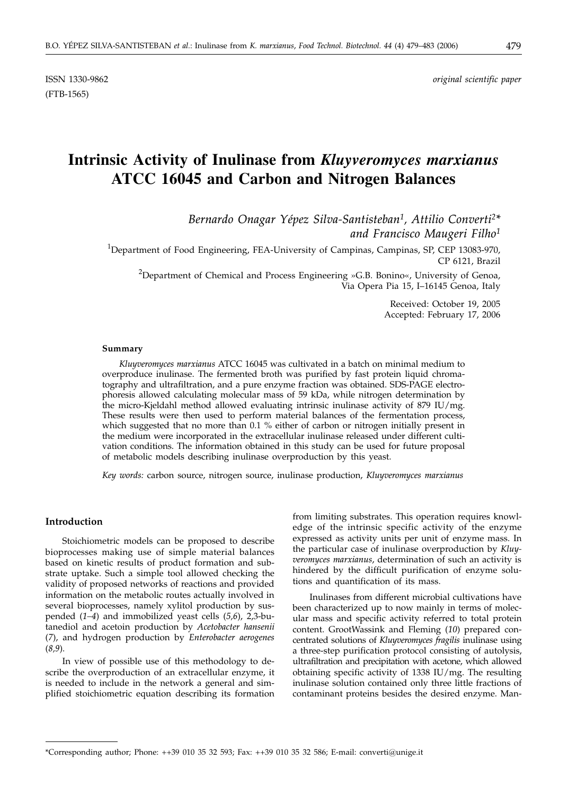ISSN 1330-9862 *original scientific paper*

# **Intrinsic Activity of Inulinase from** *Kluyveromyces marxianus* **ATCC 16045 and Carbon and Nitrogen Balances**

*Bernardo Onagar Yépez Silva-Santisteban1, Attilio Converti2\* and Francisco Maugeri Filho1*

<sup>1</sup>Department of Food Engineering, FEA-University of Campinas, Campinas, SP, CEP 13083-970, CP 6121, Brazil

<sup>2</sup>Department of Chemical and Process Engineering »G.B. Bonino«, University of Genoa, Via Opera Pia 15, I–16145 Genoa, Italy

> Received: October 19, 2005 Accepted: February 17, 2006

### **Summary**

*Kluyveromyces marxianus* ATCC 16045 was cultivated in a batch on minimal medium to overproduce inulinase. The fermented broth was purified by fast protein liquid chromatography and ultrafiltration, and a pure enzyme fraction was obtained. SDS-PAGE electrophoresis allowed calculating molecular mass of 59 kDa, while nitrogen determination by the micro-Kjeldahl method allowed evaluating intrinsic inulinase activity of 879 IU/mg. These results were then used to perform material balances of the fermentation process, which suggested that no more than 0.1 % either of carbon or nitrogen initially present in the medium were incorporated in the extracellular inulinase released under different cultivation conditions. The information obtained in this study can be used for future proposal of metabolic models describing inulinase overproduction by this yeast.

*Key words:* carbon source, nitrogen source, inulinase production, *Kluyveromyces marxianus*

# **Introduction**

Stoichiometric models can be proposed to describe bioprocesses making use of simple material balances based on kinetic results of product formation and substrate uptake. Such a simple tool allowed checking the validity of proposed networks of reactions and provided information on the metabolic routes actually involved in several bioprocesses, namely xylitol production by suspended (*1–4*) and immobilized yeast cells (*5,6*), 2,3-butanediol and acetoin production by *Acetobacter hansenii* (*7*), and hydrogen production by *Enterobacter aerogenes* (*8,9*).

In view of possible use of this methodology to describe the overproduction of an extracellular enzyme, it is needed to include in the network a general and simplified stoichiometric equation describing its formation

from limiting substrates. This operation requires knowledge of the intrinsic specific activity of the enzyme expressed as activity units per unit of enzyme mass. In the particular case of inulinase overproduction by *Kluyveromyces marxianus*, determination of such an activity is hindered by the difficult purification of enzyme solutions and quantification of its mass.

Inulinases from different microbial cultivations have been characterized up to now mainly in terms of molecular mass and specific activity referred to total protein content. GrootWassink and Fleming (*10*) prepared concentrated solutions of *Kluyveromyces fragilis* inulinase using a three-step purification protocol consisting of autolysis, ultrafiltration and precipitation with acetone, which allowed obtaining specific activity of 1338 IU/mg. The resulting inulinase solution contained only three little fractions of contaminant proteins besides the desired enzyme. Man-

<sup>\*</sup>Corresponding author; Phone: ++39 010 35 32 593; Fax: ++39 010 35 32 586; E-mail: converti*@*unige.it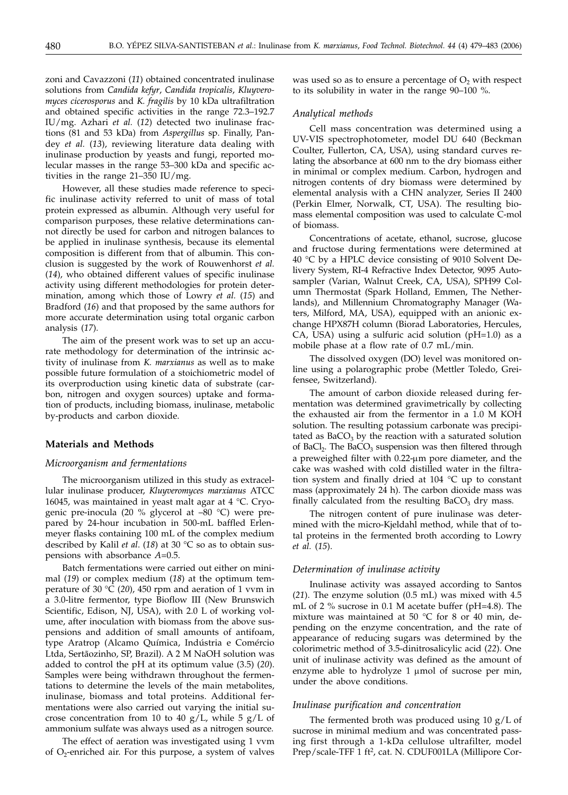zoni and Cavazzoni (*11*) obtained concentrated inulinase solutions from *Candida kefyr*, *Candida tropicalis*, *Kluyveromyces cicerosporus* and *K. fragilis* by 10 kDa ultrafiltration and obtained specific activities in the range 72.3–192.7 IU/mg. Azhari *et al.* (*12*) detected two inulinase fractions (81 and 53 kDa) from *Aspergillus* sp. Finally, Pandey *et al.* (*13*), reviewing literature data dealing with inulinase production by yeasts and fungi, reported molecular masses in the range 53–300 kDa and specific activities in the range 21–350 IU/mg.

However, all these studies made reference to specific inulinase activity referred to unit of mass of total protein expressed as albumin. Although very useful for comparison purposes, these relative determinations cannot directly be used for carbon and nitrogen balances to be applied in inulinase synthesis, because its elemental composition is different from that of albumin. This conclusion is suggested by the work of Rouwenhorst *et al.* (*14*), who obtained different values of specific inulinase activity using different methodologies for protein determination, among which those of Lowry *et al.* (*15*) and Bradford (*16*) and that proposed by the same authors for more accurate determination using total organic carbon analysis (*17*).

The aim of the present work was to set up an accurate methodology for determination of the intrinsic activity of inulinase from *K. marxianus* as well as to make possible future formulation of a stoichiometric model of its overproduction using kinetic data of substrate (carbon, nitrogen and oxygen sources) uptake and formation of products, including biomass, inulinase, metabolic by-products and carbon dioxide.

# **Materials and Methods**

## *Microorganism and fermentations*

The microorganism utilized in this study as extracellular inulinase producer, *Kluyveromyces marxianus* ATCC 16045, was maintained in yeast malt agar at 4 °C. Cryogenic pre-inocula (20 % glycerol at –80 °C) were prepared by 24-hour incubation in 500-mL baffled Erlenmeyer flasks containing 100 mL of the complex medium described by Kalil *et al*. (*18*) at 30 °C so as to obtain suspensions with absorbance *A*=0.5.

Batch fermentations were carried out either on minimal (*19*) or complex medium (*18*) at the optimum temperature of 30 °C (*20*), 450 rpm and aeration of 1 vvm in a 3.0-litre fermentor, type Bioflow III (New Brunswich Scientific, Edison, NJ, USA), with 2.0 L of working volume, after inoculation with biomass from the above suspensions and addition of small amounts of antifoam, type Aratrop (Alcamo Química, Indústria e Comércio Ltda, Sertãozinho, SP, Brazil). A 2 M NaOH solution was added to control the pH at its optimum value (3.5) (*20*). Samples were being withdrawn throughout the fermentations to determine the levels of the main metabolites, inulinase, biomass and total proteins. Additional fermentations were also carried out varying the initial sucrose concentration from 10 to 40  $g/L$ , while 5  $g/L$  of ammonium sulfate was always used as a nitrogen source.

The effect of aeration was investigated using 1 vvm of  $O_2$ -enriched air. For this purpose, a system of valves was used so as to ensure a percentage of  $O<sub>2</sub>$  with respect to its solubility in water in the range 90–100 %.

# *Analytical methods*

Cell mass concentration was determined using a UV-VIS spectrophotometer, model DU 640 (Beckman Coulter, Fullerton, CA, USA), using standard curves relating the absorbance at 600 nm to the dry biomass either in minimal or complex medium. Carbon, hydrogen and nitrogen contents of dry biomass were determined by elemental analysis with a CHN analyzer, Series II 2400 (Perkin Elmer, Norwalk, CT, USA). The resulting biomass elemental composition was used to calculate C-mol of biomass.

Concentrations of acetate, ethanol, sucrose, glucose and fructose during fermentations were determined at 40 °C by a HPLC device consisting of 9010 Solvent Delivery System, RI-4 Refractive Index Detector, 9095 Autosampler (Varian, Walnut Creek, CA, USA), SPH99 Column Thermostat (Spark Holland, Emmen, The Netherlands), and Millennium Chromatography Manager (Waters, Milford, MA, USA), equipped with an anionic exchange HPX87H column (Biorad Laboratories, Hercules, CA, USA) using a sulfuric acid solution (pH=1.0) as a mobile phase at a flow rate of 0.7 mL/min.

The dissolved oxygen (DO) level was monitored online using a polarographic probe (Mettler Toledo, Greifensee, Switzerland).

The amount of carbon dioxide released during fermentation was determined gravimetrically by collecting the exhausted air from the fermentor in a 1.0 M KOH solution. The resulting potassium carbonate was precipitated as  $BaCO<sub>3</sub>$  by the reaction with a saturated solution of BaCl<sub>2</sub>. The BaCO<sub>3</sub> suspension was then filtered through a preweighed filter with 0.22-um pore diameter, and the cake was washed with cold distilled water in the filtration system and finally dried at 104 °C up to constant mass (approximately 24 h). The carbon dioxide mass was finally calculated from the resulting  $BaCO<sub>3</sub>$  dry mass.

The nitrogen content of pure inulinase was determined with the micro-Kjeldahl method, while that of total proteins in the fermented broth according to Lowry *et al.* (*15*).

# *Determination of inulinase activity*

Inulinase activity was assayed according to Santos (*21*). The enzyme solution (0.5 mL) was mixed with 4.5 mL of 2 % sucrose in 0.1 M acetate buffer (pH=4.8). The mixture was maintained at 50 °C for 8 or 40 min, depending on the enzyme concentration, and the rate of appearance of reducing sugars was determined by the colorimetric method of 3.5-dinitrosalicylic acid (*22*). One unit of inulinase activity was defined as the amount of enzyme able to hydrolyze 1 µmol of sucrose per min, under the above conditions.

### *Inulinase purification and concentration*

The fermented broth was produced using  $10 \text{ g/L}$  of sucrose in minimal medium and was concentrated passing first through a 1-kDa cellulose ultrafilter, model Prep/scale-TFF 1 ft<sup>2</sup>, cat. N. CDUF001LA (Millipore Cor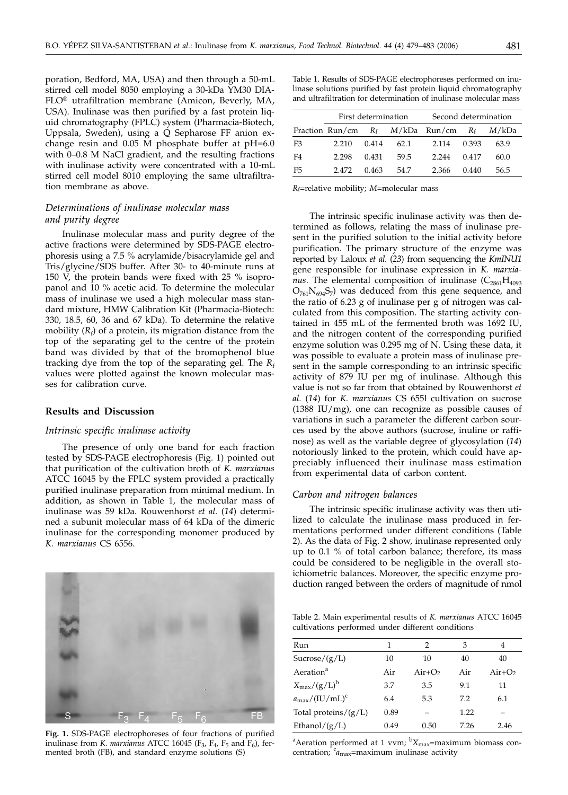poration, Bedford, MA, USA) and then through a 50-mL stirred cell model 8050 employing a 30-kDa YM30 DIA-FLO® utrafiltration membrane (Amicon, Beverly, MA, USA). Inulinase was then purified by a fast protein liquid chromatography (FPLC) system (Pharmacia-Biotech, Uppsala, Sweden), using a Q Sepharose FF anion exchange resin and 0.05 M phosphate buffer at pH=6.0 with 0–0.8 M NaCl gradient, and the resulting fractions with inulinase activity were concentrated with a 10-mL stirred cell model 8010 employing the same ultrafiltration membrane as above.

# *Determinations of inulinase molecular mass and purity degree*

Inulinase molecular mass and purity degree of the active fractions were determined by SDS-PAGE electrophoresis using a 7.5 % acrylamide/bisacrylamide gel and Tris/glycine/SDS buffer. After 30- to 40-minute runs at 150 V, the protein bands were fixed with 25 % isopropanol and 10 % acetic acid. To determine the molecular mass of inulinase we used a high molecular mass standard mixture, HMW Calibration Kit (Pharmacia-Biotech: 330, 18.5, 60, 36 and 67 kDa). To determine the relative mobility  $(R_f)$  of a protein, its migration distance from the top of the separating gel to the centre of the protein band was divided by that of the bromophenol blue tracking dye from the top of the separating gel. The  $R_f$ values were plotted against the known molecular masses for calibration curve.

### **Results and Discussion**

### *Intrinsic specific inulinase activity*

The presence of only one band for each fraction tested by SDS-PAGE electrophoresis (Fig. 1) pointed out that purification of the cultivation broth of *K. marxianus* ATCC 16045 by the FPLC system provided a practically purified inulinase preparation from minimal medium. In addition, as shown in Table 1, the molecular mass of inulinase was 59 kDa. Rouwenhorst *et al.* (*14*) determined a subunit molecular mass of 64 kDa of the dimeric inulinase for the corresponding monomer produced by *K. marxianus* CS 6556.

**Fig. 1.** SDS-PAGE electrophoreses of four fractions of purified inulinase from *K. marxianus* ATCC 16045 ( $F_3$ ,  $F_4$ ,  $F_5$  and  $F_6$ ), fermented broth (FB), and standard enzyme solutions (S)

Table 1. Results of SDS-PAGE electrophoreses performed on inulinase solutions purified by fast protein liquid chromatography and ultrafiltration for determination of inulinase molecular mass

|                |       | First determination |      | Second determination                 |       |       |  |
|----------------|-------|---------------------|------|--------------------------------------|-------|-------|--|
|                |       |                     |      | Fraction Run/cm $R_f$ $M/kDa$ Run/cm | $R_f$ | M/kDa |  |
| F <sub>3</sub> | 2.210 | 0.414               | 62.1 | 2.114                                | 0.393 | 63.9  |  |
| F4             | 2.298 | 0.431               | 59.5 | 2.244                                | 0.417 | 60.0  |  |
| F <sub>5</sub> | 2472  | 0.463               | 54.7 | 2.366                                | 0.440 | 56.5  |  |

*R*f=relative mobility; *M*=molecular mass

The intrinsic specific inulinase activity was then determined as follows, relating the mass of inulinase present in the purified solution to the initial activity before purification. The primary structure of the enzyme was reported by Laloux *et al.* (*23*) from sequencing the *KmINU1* gene responsible for inulinase expression in *K. marxianus*. The elemental composition of inulinase  $(C_{2861}H_{4093})$  $O_{761}N_{694}S_7$ ) was deduced from this gene sequence, and the ratio of 6.23 g of inulinase per g of nitrogen was calculated from this composition. The starting activity contained in 455 mL of the fermented broth was 1692 IU, and the nitrogen content of the corresponding purified enzyme solution was 0.295 mg of N. Using these data, it was possible to evaluate a protein mass of inulinase present in the sample corresponding to an intrinsic specific activity of 879 IU per mg of inulinase. Although this value is not so far from that obtained by Rouwenhorst *et al.* (*14*) for *K. marxianus* CS 655l cultivation on sucrose (1388 IU/mg), one can recognize as possible causes of variations in such a parameter the different carbon sources used by the above authors (sucrose, inuline or raffinose) as well as the variable degree of glycosylation (*14*) notoriously linked to the protein, which could have appreciably influenced their inulinase mass estimation from experimental data of carbon content.

### *Carbon and nitrogen balances*

The intrinsic specific inulinase activity was then utilized to calculate the inulinase mass produced in fermentations performed under different conditions (Table 2). As the data of Fig. 2 show, inulinase represented only up to 0.1 % of total carbon balance; therefore, its mass could be considered to be negligible in the overall stoichiometric balances. Moreover, the specific enzyme production ranged between the orders of magnitude of nmol

Table 2. Main experimental results of *K. marxianus* ATCC 16045 cultivations performed under different conditions

| Run                                      | 1    | 2        | 3    | 4        |  |
|------------------------------------------|------|----------|------|----------|--|
| Sucrose/(g/L)                            | 10   | 10       | 40   | 40       |  |
| Aeration <sup>a</sup>                    | Air  | $Air+O2$ | Air  | $Air+O2$ |  |
| $X_{\text{max}}/(g/L)^b$                 | 3.7  | 3.5      | 9.1  | 11       |  |
| $a_{\text{max}}/(\text{IU}/\text{mL})^c$ | 6.4  | 5.3      | 7.2  | 6.1      |  |
| Total proteins/ $(g/L)$                  | 0.89 |          | 1.22 |          |  |
| Ethanol/ $(g/L)$                         | 0.49 | 0.50     | 7.26 | 2.46     |  |

<sup>a</sup> Aeration performed at 1 vvm; <sup>b</sup> X<sub>max</sub>=maximum biomass concentration; <sup>c</sup>a<sub>max</sub>=maximum inulinase activity

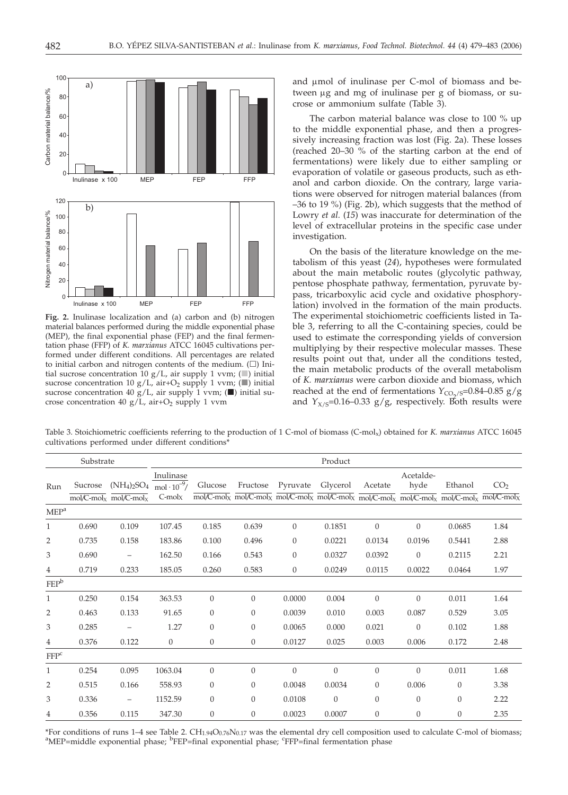

**Fig. 2.** Inulinase localization and (a) carbon and (b) nitrogen material balances performed during the middle exponential phase (MEP), the final exponential phase (FEP) and the final fermentation phase (FFP) of *K. marxianus* ATCC 16045 cultivations performed under different conditions. All percentages are related to initial carbon and nitrogen contents of the medium.  $(\Box)$  Initial sucrose concentration  $10 g/L$ , air supply 1 vvm; (a) initial sucrose concentration 10 g/L, air+O<sub>2</sub> supply 1 vvm; ( $\Box$ ) initial sucrose concentration 40 g/L, air supply 1 vvm; ( $\blacksquare$ ) initial sucrose concentration 40 g/L, air+O<sub>2</sub> supply 1 vvm

and µmol of inulinase per C-mol of biomass and between  $\mu$ g and mg of inulinase per g of biomass, or sucrose or ammonium sulfate (Table 3).

The carbon material balance was close to 100 % up to the middle exponential phase, and then a progressively increasing fraction was lost (Fig. 2a). These losses (reached 20–30 % of the starting carbon at the end of fermentations) were likely due to either sampling or evaporation of volatile or gaseous products, such as ethanol and carbon dioxide. On the contrary, large variations were observed for nitrogen material balances (from –36 to 19 %) (Fig. 2b), which suggests that the method of Lowry *et al.* (*15*) was inaccurate for determination of the level of extracellular proteins in the specific case under investigation.

On the basis of the literature knowledge on the metabolism of this yeast (*24*), hypotheses were formulated about the main metabolic routes (glycolytic pathway, pentose phosphate pathway, fermentation, pyruvate bypass, tricarboxylic acid cycle and oxidative phosphorylation) involved in the formation of the main products. The experimental stoichiometric coefficients listed in Table 3, referring to all the C-containing species, could be used to estimate the corresponding yields of conversion multiplying by their respective molecular masses. These results point out that, under all the conditions tested, the main metabolic products of the overall metabolism of *K. marxianus* were carbon dioxide and biomass, which reached at the end of fermentations  $Y_{CO_2/S}=0.84-0.85$  g/g and  $Y_{X/S}=0.16-0.33$  g/g, respectively. Both results were

Table 3. Stoichiometric coefficients referring to the production of 1 C-mol of biomass (C-molx) obtained for *K. marxianus* ATCC 16045 cultivations performed under different conditions\*

| Substrate        |         |                                                                    | Product                                            |                  |          |                |                                                                                                                                                                                                                                             |                |                   |                |                 |
|------------------|---------|--------------------------------------------------------------------|----------------------------------------------------|------------------|----------|----------------|---------------------------------------------------------------------------------------------------------------------------------------------------------------------------------------------------------------------------------------------|----------------|-------------------|----------------|-----------------|
| Run              | Sucrose | $(NH_4)_2SO_4$<br>$mol/C$ -mol <sub>x</sub> mol/C-mol <sub>x</sub> | Inulinase<br>$mol \cdot 10^{-9}$ /<br>$C$ -mol $x$ | Glucose          | Fructose | Pyruvate       | Glycerol<br>$\overline{\text{mol}}$ /C-molx $\overline{\text{mol}}$ /C-molx $\overline{\text{mol}}$ /C-molx $\overline{\text{mol}}$ /C-molx $\overline{\text{mol}}$ /C-molx $\overline{\text{mol}}$ /C-molx $\overline{\text{mol}}$ /C-molx | Acetate        | Acetalde-<br>hyde | Ethanol        | CO <sub>2</sub> |
| MEP <sup>a</sup> |         |                                                                    |                                                    |                  |          |                |                                                                                                                                                                                                                                             |                |                   |                |                 |
| $\mathbf{1}$     | 0.690   | 0.109                                                              | 107.45                                             | 0.185            | 0.639    | $\overline{0}$ | 0.1851                                                                                                                                                                                                                                      | $\overline{0}$ | $\theta$          | 0.0685         | 1.84            |
| 2                | 0.735   | 0.158                                                              | 183.86                                             | 0.100            | 0.496    | 0              | 0.0221                                                                                                                                                                                                                                      | 0.0134         | 0.0196            | 0.5441         | 2.88            |
| 3                | 0.690   | $\overline{\phantom{m}}$                                           | 162.50                                             | 0.166            | 0.543    | $\overline{0}$ | 0.0327                                                                                                                                                                                                                                      | 0.0392         | $\theta$          | 0.2115         | 2.21            |
| 4                | 0.719   | 0.233                                                              | 185.05                                             | 0.260            | 0.583    | $\overline{0}$ | 0.0249                                                                                                                                                                                                                                      | 0.0115         | 0.0022            | 0.0464         | 1.97            |
| $FEP^b$          |         |                                                                    |                                                    |                  |          |                |                                                                                                                                                                                                                                             |                |                   |                |                 |
| $\mathbf{1}$     | 0.250   | 0.154                                                              | 363.53                                             | $\boldsymbol{0}$ | $\Omega$ | 0.0000         | 0.004                                                                                                                                                                                                                                       | $\overline{0}$ | $\theta$          | 0.011          | 1.64            |
| $\overline{2}$   | 0.463   | 0.133                                                              | 91.65                                              | $\theta$         | $\theta$ | 0.0039         | 0.010                                                                                                                                                                                                                                       | 0.003          | 0.087             | 0.529          | 3.05            |
| 3                | 0.285   | $\overline{\phantom{m}}$                                           | 1.27                                               | $\overline{0}$   | $\theta$ | 0.0065         | 0.000                                                                                                                                                                                                                                       | 0.021          | $\overline{0}$    | 0.102          | 1.88            |
| $\overline{4}$   | 0.376   | 0.122                                                              | $\overline{0}$                                     | $\overline{0}$   | $\theta$ | 0.0127         | 0.025                                                                                                                                                                                                                                       | 0.003          | 0.006             | 0.172          | 2.48            |
| FFP <sup>c</sup> |         |                                                                    |                                                    |                  |          |                |                                                                                                                                                                                                                                             |                |                   |                |                 |
| $\mathbf{1}$     | 0.254   | 0.095                                                              | 1063.04                                            | $\boldsymbol{0}$ | $\theta$ | $\theta$       | $\overline{0}$                                                                                                                                                                                                                              | 0              | $\theta$          | 0.011          | 1.68            |
| $\overline{2}$   | 0.515   | 0.166                                                              | 558.93                                             | $\theta$         | $\theta$ | 0.0048         | 0.0034                                                                                                                                                                                                                                      | 0              | 0.006             | $\theta$       | 3.38            |
| 3                | 0.336   | $\overline{\phantom{m}}$                                           | 1152.59                                            | $\theta$         | $\theta$ | 0.0108         | $\overline{0}$                                                                                                                                                                                                                              | $\overline{0}$ | $\theta$          | $\overline{0}$ | 2.22            |
| 4                | 0.356   | 0.115                                                              | 347.30                                             | $\boldsymbol{0}$ | $\theta$ | 0.0023         | 0.0007                                                                                                                                                                                                                                      | 0              | $\theta$          | $\theta$       | 2.35            |

\*For conditions of runs 1-4 see Table 2. CH<sub>1.94</sub>O<sub>0.76</sub>N<sub>0.17</sub> was the elemental dry cell composition used to calculate C-mol of biomass; MEP=middle exponential phase; <sup>b</sup>FEP=final exponential phase; <sup>c</sup>FFP=final fermentation phase